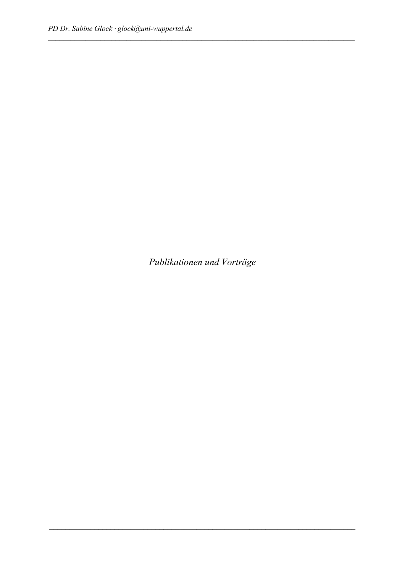Publikationen und Vorträge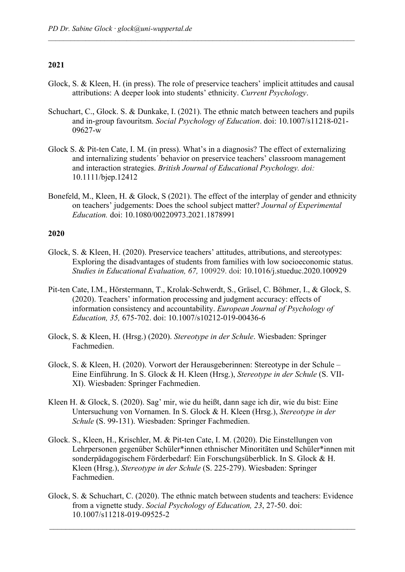Glock, S. & Kleen, H. (in press). The role of preservice teachers' implicit attitudes and causal attributions: A deeper look into students' ethnicity. *Current Psychology*.

*\_\_\_\_\_\_\_\_\_\_\_\_\_\_\_\_\_\_\_\_\_\_\_\_\_\_\_\_\_\_\_\_\_\_\_\_\_\_\_\_\_\_\_\_\_\_\_\_\_\_\_\_\_\_\_\_\_\_\_\_\_\_\_\_\_\_\_\_\_\_\_\_\_\_\_\_\_\_\_\_\_\_* 

- Schuchart, C., Glock. S. & Dunkake, I. (2021). The ethnic match between teachers and pupils and in-group favouritsm. *Social Psychology of Education*. doi: 10.1007/s11218-021- 09627-w
- Glock S. & Pit-ten Cate, I. M. (in press). What's in a diagnosis? The effect of externalizing and internalizing students´ behavior on preservice teachers' classroom management and interaction strategies. *British Journal of Educational Psychology. doi:*  10.1111/bjep.12412
- Bonefeld, M., Kleen, H. & Glock, S (2021). The effect of the interplay of gender and ethnicity on teachers' judgements: Does the school subject matter? *Journal of Experimental Education.* doi: 10.1080/00220973.2021.1878991

- Glock, S. & Kleen, H. (2020). Preservice teachers' attitudes, attributions, and stereotypes: Exploring the disadvantages of students from families with low socioeconomic status. *Studies in Educational Evaluation, 67,* 100929. doi: 10.1016/j.stueduc.2020.100929
- Pit-ten Cate, I.M., Hörstermann, T., Krolak-Schwerdt, S., Gräsel, C. Böhmer, I., & Glock, S. (2020). Teachers' information processing and judgment accuracy: effects of information consistency and accountability. *European Journal of Psychology of Education, 35,* 675-702. doi: 10.1007/s10212-019-00436-6
- Glock, S. & Kleen, H. (Hrsg.) (2020). *Stereotype in der Schule*. Wiesbaden: Springer Fachmedien.
- Glock, S. & Kleen, H. (2020). Vorwort der Herausgeberinnen: Stereotype in der Schule Eine Einführung. In S. Glock & H. Kleen (Hrsg.), *Stereotype in der Schule* (S. VII-XI). Wiesbaden: Springer Fachmedien.
- Kleen H. & Glock, S. (2020). Sag' mir, wie du heißt, dann sage ich dir, wie du bist: Eine Untersuchung von Vornamen. In S. Glock & H. Kleen (Hrsg.), *Stereotype in der Schule* (S. 99-131). Wiesbaden: Springer Fachmedien.
- Glock. S., Kleen, H., Krischler, M. & Pit-ten Cate, I. M. (2020). Die Einstellungen von Lehrpersonen gegenüber Schüler\*innen ethnischer Minoritäten und Schüler\*innen mit sonderpädagogischem Förderbedarf: Ein Forschungsüberblick. In S. Glock & H. Kleen (Hrsg.), *Stereotype in der Schule* (S. 225-279). Wiesbaden: Springer Fachmedien.
- Glock, S. & Schuchart, C. (2020). The ethnic match between students and teachers: Evidence from a vignette study. *Social Psychology of Education, 23*, 27-50. doi: 10.1007/s11218-019-09525-2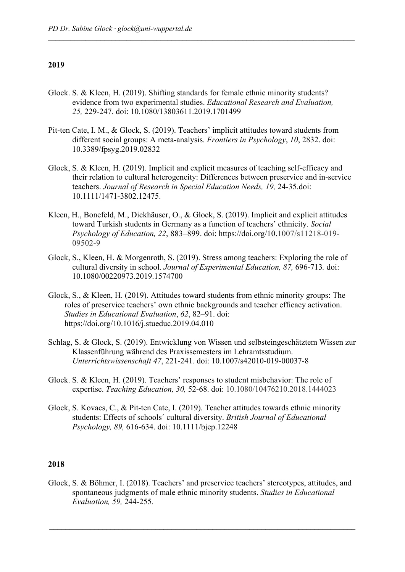Glock. S. & Kleen, H. (2019). Shifting standards for female ethnic minority students? evidence from two experimental studies. *Educational Research and Evaluation, 25,* 229-247. doi: 10.1080/13803611.2019.1701499

*\_\_\_\_\_\_\_\_\_\_\_\_\_\_\_\_\_\_\_\_\_\_\_\_\_\_\_\_\_\_\_\_\_\_\_\_\_\_\_\_\_\_\_\_\_\_\_\_\_\_\_\_\_\_\_\_\_\_\_\_\_\_\_\_\_\_\_\_\_\_\_\_\_\_\_\_\_\_\_\_\_\_* 

- Pit-ten Cate, I. M., & Glock, S. (2019). Teachers' implicit attitudes toward students from different social groups: A meta-analysis. *Frontiers in Psychology*, *10*, 2832. doi: 10.3389/fpsyg.2019.02832
- Glock, S. & Kleen, H. (2019). Implicit and explicit measures of teaching self-efficacy and their relation to cultural heterogeneity: Differences between preservice and in-service teachers. *Journal of Research in Special Education Needs, 19,* 24-35.doi: 10.1111/1471-3802.12475.
- Kleen, H., Bonefeld, M., Dickhäuser, O., & Glock, S. (2019). Implicit and explicit attitudes toward Turkish students in Germany as a function of teachers' ethnicity. *Social Psychology of Education, 22*, 883–899. doi: https://doi.org/10.1007/s11218-019- 09502-9
- Glock, S., Kleen, H. & Morgenroth, S. (2019). Stress among teachers: Exploring the role of cultural diversity in school. *Journal of Experimental Education, 87,* 696-713*.* doi: 10.1080/00220973.2019.1574700
- Glock, S., & Kleen, H. (2019). Attitudes toward students from ethnic minority groups: The roles of preservice teachers' own ethnic backgrounds and teacher efficacy activation. *Studies in Educational Evaluation*, *62*, 82–91. doi: https://doi.org/10.1016/j.stueduc.2019.04.010
- Schlag, S. & Glock, S. (2019). Entwicklung von Wissen und selbsteingeschätztem Wissen zur Klassenführung während des Praxissemesters im Lehramtsstudium. *Unterrichtswissenschaft 47*, 221-241*.* doi: 10.1007/s42010-019-00037-8
- Glock. S. & Kleen, H. (2019). Teachers' responses to student misbehavior: The role of expertise. *Teaching Education, 30,* 52-68. doi: 10.1080/10476210.2018.1444023
- Glock, S. Kovacs, C., & Pit-ten Cate, I. (2019). Teacher attitudes towards ethnic minority students: Effects of schools´ cultural diversity. *British Journal of Educational Psychology, 89,* 616-634. doi: 10.1111/bjep.12248

## **2018**

Glock, S. & Böhmer, I. (2018). Teachers' and preservice teachers' stereotypes, attitudes, and spontaneous judgments of male ethnic minority students. *Studies in Educational Evaluation, 59,* 244-255*.*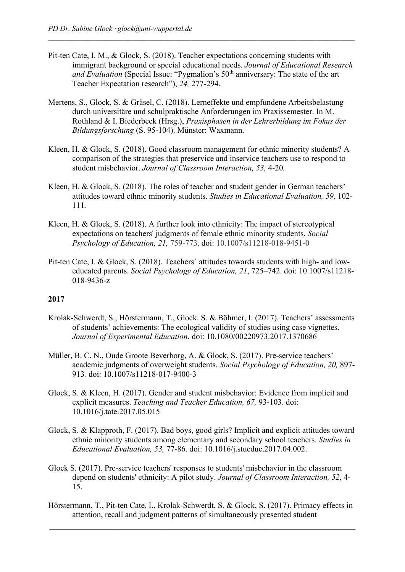Pit-ten Cate, I. M., & Glock, S. (2018). Teacher expectations concerning students with immigrant background or special educational needs. *Journal of Educational Research and Evaluation* (Special Issue: "Pygmalion's 50<sup>th</sup> anniversary: The state of the art Teacher Expectation research"), *24,* 277-294.

*\_\_\_\_\_\_\_\_\_\_\_\_\_\_\_\_\_\_\_\_\_\_\_\_\_\_\_\_\_\_\_\_\_\_\_\_\_\_\_\_\_\_\_\_\_\_\_\_\_\_\_\_\_\_\_\_\_\_\_\_\_\_\_\_\_\_\_\_\_\_\_\_\_\_\_\_\_\_\_\_\_\_* 

- Mertens, S., Glock, S. & Gräsel, C. (2018). Lerneffekte und empfundene Arbeitsbelastung durch universitäre und schulpraktische Anforderungen im Praxissemester. In M. Rothland & I. Biederbeck (Hrsg.), *Praxisphasen in der Lehrerbildung im Fokus der Bildungsforschung* (S. 95-104). Münster: Waxmann.
- Kleen, H. & Glock, S. (2018). Good classroom management for ethnic minority students? A comparison of the strategies that preservice and inservice teachers use to respond to student misbehavior. *Journal of Classroom Interaction, 53,* 4-20*.*
- Kleen, H. & Glock, S. (2018). The roles of teacher and student gender in German teachers' attitudes toward ethnic minority students. *Studies in Educational Evaluation, 59,* 102- 111*.*
- Kleen, H. & Glock, S. (2018). A further look into ethnicity: The impact of stereotypical expectations on teachers' judgments of female ethnic minority students. *Social Psychology of Education, 21,* 759-773. doi: 10.1007/s11218-018-9451-0
- Pit-ten Cate, I. & Glock, S. (2018). Teachers´ attitudes towards students with high- and loweducated parents. *Social Psychology of Education, 21*, 725–742. doi: 10.1007/s11218- 018-9436-z

- Krolak-Schwerdt, S., Hörstermann, T., Glock. S. & Böhmer, I. (2017). Teachers' assessments of students' achievements: The ecological validity of studies using case vignettes. *Journal of Experimental Education*. doi: 10.1080/00220973.2017.1370686
- Müller, B. C. N., Oude Groote Beverborg, A. & Glock, S. (2017). Pre-service teachers' academic judgments of overweight students. *Social Psychology of Education, 20,* 897- 913*.* doi: 10.1007/s11218-017-9400-3
- Glock, S. & Kleen, H. (2017). Gender and student misbehavior: Evidence from implicit and explicit measures. *Teaching and Teacher Education, 67,* 93-103. doi: 10.1016/j.tate.2017.05.015
- Glock, S. & Klapproth, F. (2017). Bad boys, good girls? Implicit and explicit attitudes toward ethnic minority students among elementary and secondary school teachers. *Studies in Educational Evaluation, 53,* 77-86. doi: 10.1016/j.stueduc.2017.04.002.
- Glock S. (2017). Pre-service teachers' responses to students' misbehavior in the classroom depend on students' ethnicity: A pilot study. *Journal of Classroom Interaction, 52*, 4- 15.
- Hörstermann, T., Pit-ten Cate, I., Krolak-Schwerdt, S. & Glock, S. (2017). Primacy effects in attention, recall and judgment patterns of simultaneously presented student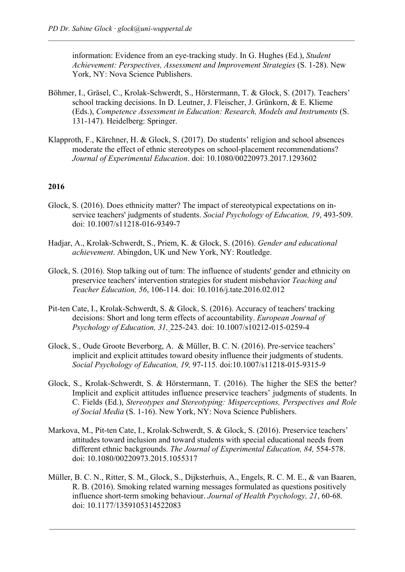information: Evidence from an eye-tracking study. In G. Hughes (Ed.), *Student Achievement: Perspectives, Assessment and Improvement Strategies* (S. 1-28). New York, NY: Nova Science Publishers.

*\_\_\_\_\_\_\_\_\_\_\_\_\_\_\_\_\_\_\_\_\_\_\_\_\_\_\_\_\_\_\_\_\_\_\_\_\_\_\_\_\_\_\_\_\_\_\_\_\_\_\_\_\_\_\_\_\_\_\_\_\_\_\_\_\_\_\_\_\_\_\_\_\_\_\_\_\_\_\_\_\_\_* 

- Böhmer, I., Gräsel, C., Krolak-Schwerdt, S., Hörstermann, T. & Glock, S. (2017). Teachers' school tracking decisions. In D. Leutner, J. Fleischer, J. Grünkorn, & E. Klieme (Eds.), *Competence Assessment in Education: Research, Models and Instruments* (S. 131-147)*.* Heidelberg: Springer.
- Klapproth, F., Kärchner, H. & Glock, S. (2017). Do students' religion and school absences moderate the effect of ethnic stereotypes on school-placement recommendations? *Journal of Experimental Education*. doi: 10.1080/00220973.2017.1293602

- Glock, S. (2016). Does ethnicity matter? The impact of stereotypical expectations on inservice teachers' judgments of students. *Social Psychology of Education, 19*, 493-509. doi: 10.1007/s11218-016-9349-7
- Hadjar, A., Krolak-Schwerdt, S., Priem, K. & Glock, S. (2016). *Gender and educational achievement*. Abingdon, UK und New York, NY: Routledge.
- Glock, S. (2016). Stop talking out of turn: The influence of students' gender and ethnicity on preservice teachers' intervention strategies for student misbehavior *Teaching and Teacher Education, 56*, 106-114*.* doi: 10.1016/j.tate.2016.02.012
- Pit-ten Cate, I., Krolak-Schwerdt, S. & Glock, S. (2016). Accuracy of teachers' tracking decisions: Short and long term effects of accountability. *European Journal of Psychology of Education, 31,* 225-243*.* doi: 10.1007/s10212-015-0259-4
- Glock, S., Oude Groote Beverborg, A. & Müller, B. C. N. (2016). Pre-service teachers' implicit and explicit attitudes toward obesity influence their judgments of students. *Social Psychology of Education, 19,* 97-115*.* doi:10.1007/s11218-015-9315-9
- Glock, S., Krolak-Schwerdt, S. & Hörstermann, T. (2016). The higher the SES the better? Implicit and explicit attitudes influence preservice teachers' judgments of students. In C. Fields (Ed.), *Stereotypes and Stereotyping: Misperceptions, Perspectives and Role of Social Media* (S. 1-16). New York, NY: Nova Science Publishers.
- Markova, M., Pit-ten Cate, I., Krolak-Schwerdt, S. & Glock, S. (2016). Preservice teachers' attitudes toward inclusion and toward students with special educational needs from different ethnic backgrounds. *The Journal of Experimental Education, 84,* 554-578. doi: 10.1080/00220973.2015.1055317
- Müller, B. C. N., Ritter, S. M., Glock, S., Dijksterhuis, A., Engels, R. C. M. E., & van Baaren, R. B. (2016). Smoking related warning messages formulated as questions positively influence short-term smoking behaviour. *Journal of Health Psychology, 21*, 60-68*.* doi: 10.1177/1359105314522083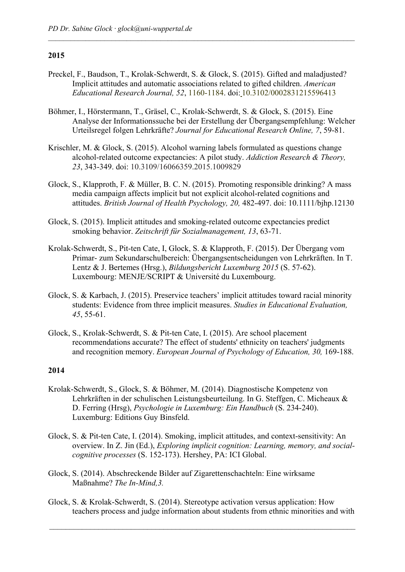Preckel, F., Baudson, T., Krolak-Schwerdt, S. & Glock, S. (2015). Gifted and maladjusted? Implicit attitudes and automatic associations related to gifted children. *American Educational Research Journal, 52*, 1160-1184. doi: 10.3102/0002831215596413

*\_\_\_\_\_\_\_\_\_\_\_\_\_\_\_\_\_\_\_\_\_\_\_\_\_\_\_\_\_\_\_\_\_\_\_\_\_\_\_\_\_\_\_\_\_\_\_\_\_\_\_\_\_\_\_\_\_\_\_\_\_\_\_\_\_\_\_\_\_\_\_\_\_\_\_\_\_\_\_\_\_\_* 

- Böhmer, I., Hörstermann, T., Gräsel, C., Krolak-Schwerdt, S. & Glock, S. (2015). Eine Analyse der Informationssuche bei der Erstellung der Übergangsempfehlung: Welcher Urteilsregel folgen Lehrkräfte? *Journal for Educational Research Online, 7*, 59-81.
- Krischler, M. & Glock, S. (2015). Alcohol warning labels formulated as questions change alcohol-related outcome expectancies: A pilot study. *Addiction Research & Theory, 23*, 343-349. doi: 10.3109/16066359.2015.1009829
- Glock, S., Klapproth, F. & Müller, B. C. N. (2015). Promoting responsible drinking? A mass media campaign affects implicit but not explicit alcohol-related cognitions and attitudes. *British Journal of Health Psychology, 20,* 482-497. doi: 10.1111/bjhp.12130
- Glock, S. (2015). Implicit attitudes and smoking-related outcome expectancies predict smoking behavior. *Zeitschrift für Sozialmanagement, 13*, 63-71.
- Krolak-Schwerdt, S., Pit-ten Cate, I, Glock, S. & Klapproth, F. (2015). Der Übergang vom Primar- zum Sekundarschulbereich: Übergangsentscheidungen von Lehrkräften. In T. Lentz & J. Bertemes (Hrsg.), *Bildungsbericht Luxemburg 2015* (S. 57-62). Luxembourg: MENJE/SCRIPT & Université du Luxembourg.
- Glock, S. & Karbach, J. (2015). Preservice teachers' implicit attitudes toward racial minority students: Evidence from three implicit measures. *Studies in Educational Evaluation, 45*, 55-61.
- Glock, S., Krolak-Schwerdt, S. & Pit-ten Cate, I. (2015). Are school placement recommendations accurate? The effect of students' ethnicity on teachers' judgments and recognition memory. *European Journal of Psychology of Education*, 30, 169-188.

- Krolak-Schwerdt, S., Glock, S. & Böhmer, M. (2014). Diagnostische Kompetenz von Lehrkräften in der schulischen Leistungsbeurteilung. In G. Steffgen, C. Micheaux & D. Ferring (Hrsg), *Psychologie in Luxemburg: Ein Handbuch* (S. 234-240). Luxemburg: Editions Guy Binsfeld.
- Glock, S. & Pit-ten Cate, I. (2014). Smoking, implicit attitudes, and context-sensitivity: An overview. In Z. Jin (Ed.), *Exploring implicit cognition: Learning, memory, and socialcognitive processes* (S. 152-173). Hershey, PA: ICI Global.
- Glock, S. (2014). Abschreckende Bilder auf Zigarettenschachteln: Eine wirksame Maßnahme? *The In-Mind,3.*
- Glock, S. & Krolak-Schwerdt, S. (2014). Stereotype activation versus application: How teachers process and judge information about students from ethnic minorities and with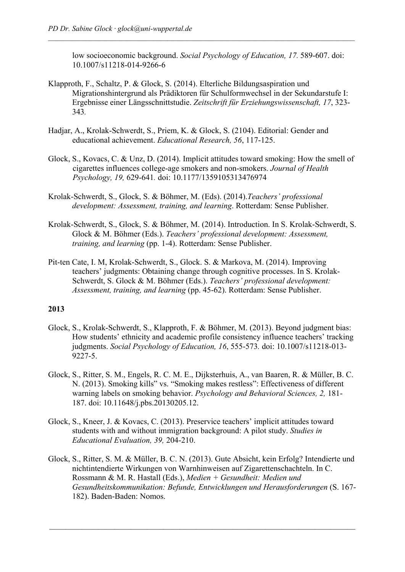low socioeconomic background. *Social Psychology of Education, 17.* 589-607. doi: 10.1007/s11218-014-9266-6

*\_\_\_\_\_\_\_\_\_\_\_\_\_\_\_\_\_\_\_\_\_\_\_\_\_\_\_\_\_\_\_\_\_\_\_\_\_\_\_\_\_\_\_\_\_\_\_\_\_\_\_\_\_\_\_\_\_\_\_\_\_\_\_\_\_\_\_\_\_\_\_\_\_\_\_\_\_\_\_\_\_\_* 

- Klapproth, F., Schaltz, P. & Glock, S. (2014). Elterliche Bildungsaspiration und Migrationshintergrund als Prädiktoren für Schulformwechsel in der Sekundarstufe I: Ergebnisse einer Längsschnittstudie. *Zeitschrift für Erziehungswissenschaft, 17*, 323- 343*.*
- Hadjar, A., Krolak-Schwerdt, S., Priem, K. & Glock, S. (2104). Editorial: Gender and educational achievement. *Educational Research, 56*, 117-125.
- Glock, S., Kovacs, C. & Unz, D. (2014). Implicit attitudes toward smoking: How the smell of cigarettes influences college-age smokers and non-smokers. *Journal of Health Psychology, 19,* 629-641*.* doi: 10.1177/1359105313476974
- Krolak-Schwerdt, S., Glock, S. & Böhmer, M. (Eds). (2014).*Teachers' professional development: Assessment, training, and learning*. Rotterdam: Sense Publisher.
- Krolak-Schwerdt, S., Glock, S. & Böhmer, M. (2014). Introduction. In S. Krolak-Schwerdt, S. Glock & M. Böhmer (Eds.). *Teachers' professional development: Assessment, training, and learning* (pp. 1-4). Rotterdam: Sense Publisher.
- Pit-ten Cate, I. M, Krolak-Schwerdt, S., Glock. S. & Markova, M. (2014). Improving teachers' judgments: Obtaining change through cognitive processes. In S. Krolak-Schwerdt, S. Glock & M. Böhmer (Eds.). *Teachers' professional development: Assessment, training, and learning* (pp. 45-62). Rotterdam: Sense Publisher.

- Glock, S., Krolak-Schwerdt, S., Klapproth, F. & Böhmer, M. (2013). Beyond judgment bias: How students' ethnicity and academic profile consistency influence teachers' tracking judgments. *Social Psychology of Education, 16*, 555-573*.* doi: 10.1007/s11218-013- 9227-5.
- Glock, S., Ritter, S. M., Engels, R. C. M. E., Dijksterhuis, A., van Baaren, R. & Müller, B. C. N. (2013). Smoking kills" vs. "Smoking makes restless": Effectiveness of different warning labels on smoking behavior. *Psychology and Behavioral Sciences, 2,* 181- 187. doi: 10.11648/j.pbs.20130205.12.
- Glock, S., Kneer, J. & Kovacs, C. (2013). Preservice teachers' implicit attitudes toward students with and without immigration background: A pilot study. *Studies in Educational Evaluation, 39,* 204-210.
- Glock, S., Ritter, S. M. & Müller, B. C. N. (2013). Gute Absicht, kein Erfolg? Intendierte und nichtintendierte Wirkungen von Warnhinweisen auf Zigarettenschachteln. In C. Rossmann & M. R. Hastall (Eds.), *Medien + Gesundheit: Medien und Gesundheitskommunikation: Befunde, Entwicklungen und Herausforderungen* (S. 167- 182). Baden-Baden: Nomos.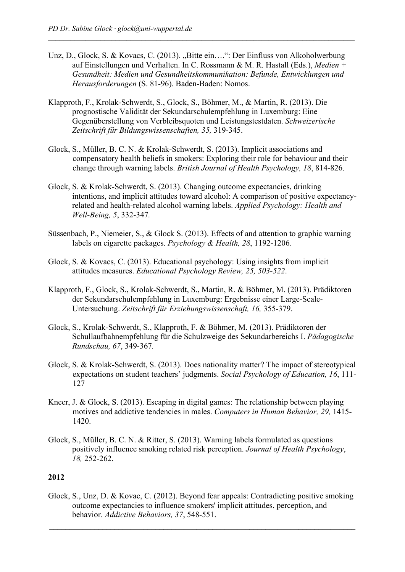Unz, D., Glock, S. & Kovacs, C. (2013). "Bitte ein….": Der Einfluss von Alkoholwerbung auf Einstellungen und Verhalten. In C. Rossmann & M. R. Hastall (Eds.), *Medien + Gesundheit: Medien und Gesundheitskommunikation: Befunde, Entwicklungen und Herausforderungen* (S. 81-96). Baden-Baden: Nomos.

*\_\_\_\_\_\_\_\_\_\_\_\_\_\_\_\_\_\_\_\_\_\_\_\_\_\_\_\_\_\_\_\_\_\_\_\_\_\_\_\_\_\_\_\_\_\_\_\_\_\_\_\_\_\_\_\_\_\_\_\_\_\_\_\_\_\_\_\_\_\_\_\_\_\_\_\_\_\_\_\_\_\_* 

- Klapproth, F., Krolak-Schwerdt, S., Glock, S., Böhmer, M., & Martin, R. (2013). Die prognostische Validität der Sekundarschulempfehlung in Luxemburg: Eine Gegenüberstellung von Verbleibsquoten und Leistungstestdaten. *Schweizerische Zeitschrift für Bildungswissenschaften, 35,* 319-345.
- Glock, S., Müller, B. C. N. & Krolak-Schwerdt, S. (2013). Implicit associations and compensatory health beliefs in smokers: Exploring their role for behaviour and their change through warning labels. *British Journal of Health Psychology, 18*, 814-826.
- Glock, S. & Krolak-Schwerdt, S. (2013). Changing outcome expectancies, drinking intentions, and implicit attitudes toward alcohol: A comparison of positive expectancyrelated and health-related alcohol warning labels. *Applied Psychology: Health and Well-Being, 5*, 332-347*.*
- Süssenbach, P., Niemeier, S., & Glock S. (2013). Effects of and attention to graphic warning labels on cigarette packages. *Psychology & Health, 28*, 1192-1206*.*
- Glock, S. & Kovacs, C. (2013). Educational psychology: Using insights from implicit attitudes measures. *Educational Psychology Review, 25, 503-522*.
- Klapproth, F., Glock, S., Krolak-Schwerdt, S., Martin, R. & Böhmer, M. (2013). Prädiktoren der Sekundarschulempfehlung in Luxemburg: Ergebnisse einer Large-Scale-Untersuchung. *Zeitschrift für Erziehungswissenschaft, 16,* 355-379.
- Glock, S., Krolak-Schwerdt, S., Klapproth, F. & Böhmer, M. (2013). Prädiktoren der Schullaufbahnempfehlung für die Schulzweige des Sekundarbereichs I. *Pädagogische Rundschau, 67*, 349-367*.*
- Glock, S. & Krolak-Schwerdt, S. (2013). Does nationality matter? The impact of stereotypical expectations on student teachers' judgments. *Social Psychology of Education, 16*, 111- 127
- Kneer, J. & Glock, S. (2013). Escaping in digital games: The relationship between playing motives and addictive tendencies in males. *Computers in Human Behavior, 29,* 1415- 1420.
- Glock, S., Müller, B. C. N. & Ritter, S. (2013). Warning labels formulated as questions positively influence smoking related risk perception. *Journal of Health Psychology*, *18,* 252-262.

## **2012**

Glock, S., Unz, D. & Kovac, C. (2012). Beyond fear appeals: Contradicting positive smoking outcome expectancies to influence smokers' implicit attitudes, perception, and behavior. *Addictive Behaviors, 37*, 548-551.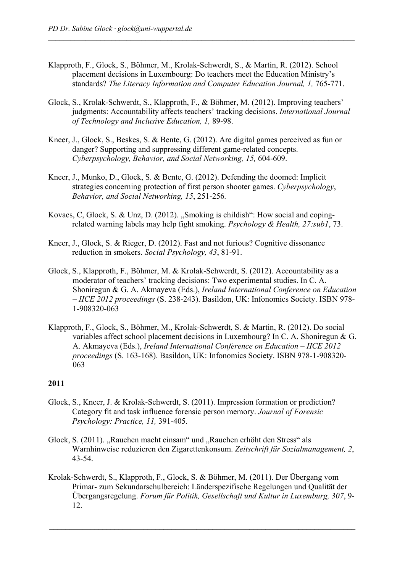Klapproth, F., Glock, S., Böhmer, M., Krolak-Schwerdt, S., & Martin, R. (2012). School placement decisions in Luxembourg: Do teachers meet the Education Ministry's standards? *The Literacy Information and Computer Education Journal, 1,* 765-771.

*\_\_\_\_\_\_\_\_\_\_\_\_\_\_\_\_\_\_\_\_\_\_\_\_\_\_\_\_\_\_\_\_\_\_\_\_\_\_\_\_\_\_\_\_\_\_\_\_\_\_\_\_\_\_\_\_\_\_\_\_\_\_\_\_\_\_\_\_\_\_\_\_\_\_\_\_\_\_\_\_\_\_* 

- Glock, S., Krolak-Schwerdt, S., Klapproth, F., & Böhmer, M. (2012). Improving teachers' judgments: Accountability affects teachers' tracking decisions. *International Journal of Technology and Inclusive Education, 1,* 89-98.
- Kneer, J., Glock, S., Beskes, S. & Bente, G. (2012). Are digital games perceived as fun or danger? Supporting and suppressing different game-related concepts. *Cyberpsychology, Behavior, and Social Networking, 15,* 604-609.
- Kneer, J., Munko, D., Glock, S. & Bente, G. (2012). Defending the doomed: Implicit strategies concerning protection of first person shooter games. *Cyberpsychology*, *Behavior, and Social Networking, 15*, 251-256*.*
- Kovacs, C, Glock, S. & Unz, D. (2012). "Smoking is childish": How social and copingrelated warning labels may help fight smoking. *Psychology & Health, 27:sub1*, 73.
- Kneer, J., Glock, S. & Rieger, D. (2012). Fast and not furious? Cognitive dissonance reduction in smokers. *Social Psychology, 43*, 81-91.
- Glock, S., Klapproth, F., Böhmer, M. & Krolak-Schwerdt, S. (2012). Accountability as a moderator of teachers' tracking decisions: Two experimental studies. In C. A. Shoniregun & G. A. Akmayeva (Eds.), *Ireland International Conference on Education – IICE 2012 proceedings* (S. 238-243). Basildon, UK: Infonomics Society. ISBN 978- 1-908320-063
- Klapproth, F., Glock, S., Böhmer, M., Krolak-Schwerdt, S. & Martin, R. (2012). Do social variables affect school placement decisions in Luxembourg? In C. A. Shoniregun & G. A. Akmayeva (Eds.), *Ireland International Conference on Education – IICE 2012 proceedings* (S. 163-168). Basildon, UK: Infonomics Society. ISBN 978-1-908320- 063

- Glock, S., Kneer, J. & Krolak-Schwerdt, S. (2011). Impression formation or prediction? Category fit and task influence forensic person memory. *Journal of Forensic Psychology: Practice, 11,* 391-405.
- Glock, S. (2011). "Rauchen macht einsam" und "Rauchen erhöht den Stress" als Warnhinweise reduzieren den Zigarettenkonsum. *Zeitschrift für Sozialmanagement, 2*, 43-54.
- Krolak-Schwerdt, S., Klapproth, F., Glock, S. & Böhmer, M. (2011). Der Übergang vom Primar- zum Sekundarschulbereich: Länderspezifische Regelungen und Qualität der Übergangsregelung. *Forum für Politik, Gesellschaft und Kultur in Luxemburg, 307*, 9- 12.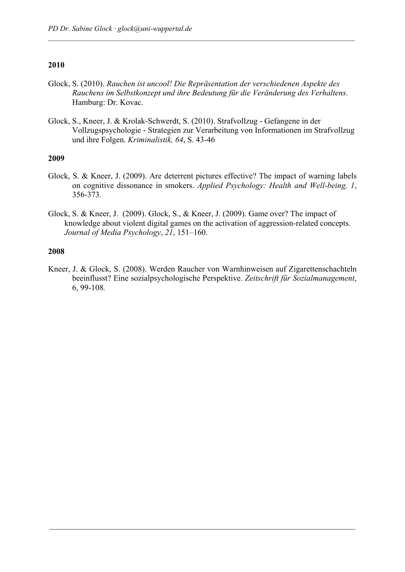Glock, S. (2010). *Rauchen ist uncool! Die Repräsentation der verschiedenen Aspekte des Rauchens im Selbstkonzept und ihre Bedeutung für die Veränderung des Verhaltens.*  Hamburg: Dr. Kovac.

*\_\_\_\_\_\_\_\_\_\_\_\_\_\_\_\_\_\_\_\_\_\_\_\_\_\_\_\_\_\_\_\_\_\_\_\_\_\_\_\_\_\_\_\_\_\_\_\_\_\_\_\_\_\_\_\_\_\_\_\_\_\_\_\_\_\_\_\_\_\_\_\_\_\_\_\_\_\_\_\_\_\_* 

Glock, S., Kneer, J. & Krolak-Schwerdt, S. (2010). Strafvollzug - Gefangene in der Vollzugspsychologie - Strategien zur Verarbeitung von Informationen im Strafvollzug und ihre Folgen. *Kriminalistik, 64*, S. 43-46

### **2009**

- Glock, S. & Kneer, J. (2009). Are deterrent pictures effective? The impact of warning labels on cognitive dissonance in smokers. *Applied Psychology: Health and Well-being, 1*, 356-373*.*
- Glock, S. & Kneer, J. (2009). Glock, S., & Kneer, J. (2009). Game over? The impact of knowledge about violent digital games on the activation of aggression-related concepts. *Journal of Media Psychology*, *21*, 151–160.

## **2008**

Kneer, J. & Glock, S. (2008). Werden Raucher von Warnhinweisen auf Zigarettenschachteln beeinflusst? Eine sozialpsychologische Perspektive. *Zeitschrift für Sozialmanagement*, 6, 99-108*.*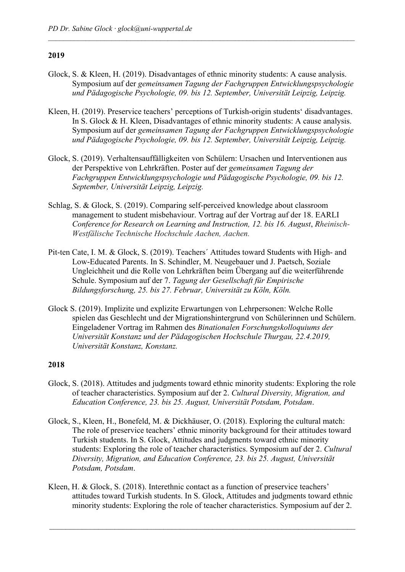Glock, S. & Kleen, H. (2019). Disadvantages of ethnic minority students: A cause analysis. Symposium auf der *gemeinsamen Tagung der Fachgruppen Entwicklungspsychologie und Pädagogische Psychologie, 09. bis 12. September, Universität Leipzig, Leipzig.*

*\_\_\_\_\_\_\_\_\_\_\_\_\_\_\_\_\_\_\_\_\_\_\_\_\_\_\_\_\_\_\_\_\_\_\_\_\_\_\_\_\_\_\_\_\_\_\_\_\_\_\_\_\_\_\_\_\_\_\_\_\_\_\_\_\_\_\_\_\_\_\_\_\_\_\_\_\_\_\_\_\_\_* 

- Kleen, H. (2019). Preservice teachers' perceptions of Turkish-origin students' disadvantages. In S. Glock & H. Kleen, Disadvantages of ethnic minority students: A cause analysis. Symposium auf der *gemeinsamen Tagung der Fachgruppen Entwicklungspsychologie und Pädagogische Psychologie, 09. bis 12. September, Universität Leipzig, Leipzig.*
- Glock, S. (2019). Verhaltensauffälligkeiten von Schülern: Ursachen und Interventionen aus der Perspektive von Lehrkräften. Poster auf der *gemeinsamen Tagung der Fachgruppen Entwicklungspsychologie und Pädagogische Psychologie, 09. bis 12. September, Universität Leipzig, Leipzig.*
- Schlag, S. & Glock, S. (2019). Comparing self-perceived knowledge about classroom management to student misbehaviour. Vortrag auf der Vortrag auf der 18. EARLI *Conference for Research on Learning and Instruction, 12. bis 16. August*, *Rheinisch-Westfälische Technische Hochschule Aachen, Aachen.*
- Pit-ten Cate, I. M. & Glock, S. (2019). Teachers´ Attitudes toward Students with High- and Low-Educated Parents. In S. Schindler, M. Neugebauer und J. Paetsch, Soziale Ungleichheit und die Rolle von Lehrkräften beim Übergang auf die weiterführende Schule. Symposium auf der 7. *Tagung der Gesellschaft für Empirische Bildungsforschung, 25. bis 27. Februar, Universität zu Köln, Köln.*
- Glock S. (2019). Implizite und explizite Erwartungen von Lehrpersonen: Welche Rolle spielen das Geschlecht und der Migrationshintergrund von Schülerinnen und Schülern. Eingeladener Vortrag im Rahmen des *Binationalen Forschungskolloquiums der Universität Konstanz und der Pädagogischen Hochschule Thurgau, 22.4.2019, Universität Konstanz, Konstanz.*

- Glock, S. (2018). Attitudes and judgments toward ethnic minority students: Exploring the role of teacher characteristics. Symposium auf der 2. *Cultural Diversity, Migration, and Education Conference, 23. bis 25. August, Universität Potsdam, Potsdam*.
- Glock, S., Kleen, H., Bonefeld, M. & Dickhäuser, O. (2018). Exploring the cultural match: The role of preservice teachers' ethnic minority background for their attitudes toward Turkish students. In S. Glock, Attitudes and judgments toward ethnic minority students: Exploring the role of teacher characteristics. Symposium auf der 2. *Cultural Diversity, Migration, and Education Conference, 23. bis 25. August, Universität Potsdam, Potsdam*.
- Kleen, H. & Glock, S. (2018). Interethnic contact as a function of preservice teachers' attitudes toward Turkish students. In S. Glock, Attitudes and judgments toward ethnic minority students: Exploring the role of teacher characteristics. Symposium auf der 2.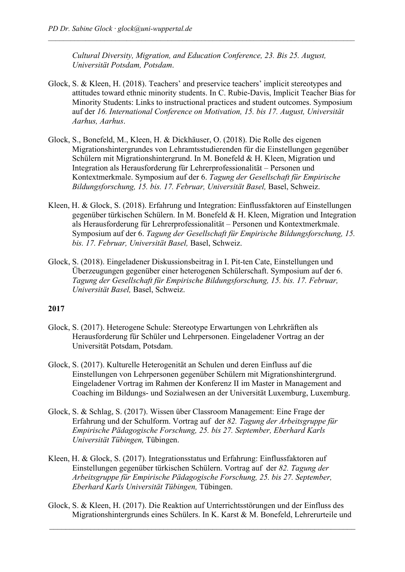*Cultural Diversity, Migration, and Education Conference, 23. Bis 25. August, Universität Potsdam, Potsdam*.

*\_\_\_\_\_\_\_\_\_\_\_\_\_\_\_\_\_\_\_\_\_\_\_\_\_\_\_\_\_\_\_\_\_\_\_\_\_\_\_\_\_\_\_\_\_\_\_\_\_\_\_\_\_\_\_\_\_\_\_\_\_\_\_\_\_\_\_\_\_\_\_\_\_\_\_\_\_\_\_\_\_\_* 

- Glock, S. & Kleen, H. (2018). Teachers' and preservice teachers' implicit stereotypes and attitudes toward ethnic minority students. In C. Rubie-Davis, Implicit Teacher Bias for Minority Students: Links to instructional practices and student outcomes. Symposium auf der *16. International Conference on Motivation, 15. bis 17. August, Universität Aarhus, Aarhus*.
- Glock, S., Bonefeld, M., Kleen, H. & Dickhäuser, O. (2018). Die Rolle des eigenen Migrationshintergrundes von Lehramtsstudierenden für die Einstellungen gegenüber Schülern mit Migrationshintergrund. In M. Bonefeld & H. Kleen, Migration und Integration als Herausforderung für Lehrerprofessionalität – Personen und Kontextmerkmale. Symposium auf der 6. *Tagung der Gesellschaft für Empirische Bildungsforschung, 15. bis. 17. Februar, Universität Basel,* Basel, Schweiz.
- Kleen, H. & Glock, S. (2018). Erfahrung und Integration: Einflussfaktoren auf Einstellungen gegenüber türkischen Schülern. In M. Bonefeld & H. Kleen, Migration und Integration als Herausforderung für Lehrerprofessionalität – Personen und Kontextmerkmale. Symposium auf der 6. *Tagung der Gesellschaft für Empirische Bildungsforschung, 15. bis. 17. Februar, Universität Basel,* Basel, Schweiz.
- Glock, S. (2018). Eingeladener Diskussionsbeitrag in I. Pit-ten Cate, Einstellungen und Überzeugungen gegenüber einer heterogenen Schülerschaft. Symposium auf der 6. *Tagung der Gesellschaft für Empirische Bildungsforschung, 15. bis. 17. Februar, Universität Basel,* Basel, Schweiz.

- Glock, S. (2017). Heterogene Schule: Stereotype Erwartungen von Lehrkräften als Herausforderung für Schüler und Lehrpersonen. Eingeladener Vortrag an der Universität Potsdam, Potsdam.
- Glock, S. (2017). Kulturelle Heterogenität an Schulen und deren Einfluss auf die Einstellungen von Lehrpersonen gegenüber Schülern mit Migrationshintergrund. Eingeladener Vortrag im Rahmen der Konferenz II im Master in Management and Coaching im Bildungs- und Sozialwesen an der Universität Luxemburg, Luxemburg.
- Glock, S. & Schlag, S. (2017). Wissen über Classroom Management: Eine Frage der Erfahrung und der Schulform. Vortrag auf der *82. Tagung der Arbeitsgruppe für Empirische Pädagogische Forschung, 25. bis 27. September, Eberhard Karls Universität Tübingen,* Tübingen.
- Kleen, H. & Glock, S. (2017). Integrationsstatus und Erfahrung: Einflussfaktoren auf Einstellungen gegenüber türkischen Schülern. Vortrag auf der *82. Tagung der Arbeitsgruppe für Empirische Pädagogische Forschung, 25. bis 27. September, Eberhard Karls Universität Tübingen,* Tübingen.
- Glock, S. & Kleen, H. (2017). Die Reaktion auf Unterrichtsstörungen und der Einfluss des Migrationshintergrunds eines Schülers. In K. Karst & M. Bonefeld, Lehrerurteile und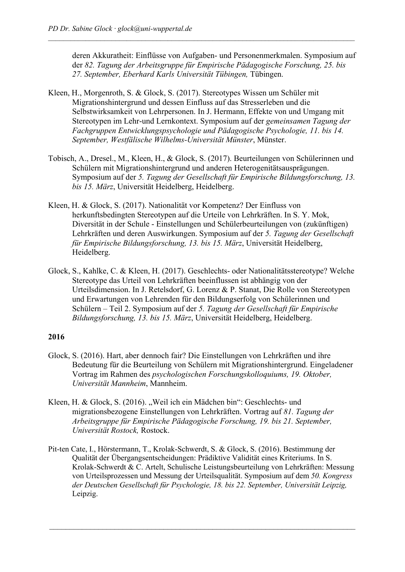deren Akkuratheit: Einflüsse von Aufgaben- und Personenmerkmalen. Symposium auf der *82. Tagung der Arbeitsgruppe für Empirische Pädagogische Forschung, 25. bis 27. September, Eberhard Karls Universität Tübingen,* Tübingen.

*\_\_\_\_\_\_\_\_\_\_\_\_\_\_\_\_\_\_\_\_\_\_\_\_\_\_\_\_\_\_\_\_\_\_\_\_\_\_\_\_\_\_\_\_\_\_\_\_\_\_\_\_\_\_\_\_\_\_\_\_\_\_\_\_\_\_\_\_\_\_\_\_\_\_\_\_\_\_\_\_\_\_* 

- Kleen, H., Morgenroth, S. & Glock, S. (2017). Stereotypes Wissen um Schüler mit Migrationshintergrund und dessen Einfluss auf das Stresserleben und die Selbstwirksamkeit von Lehrpersonen. In J. Hermann, Effekte von und Umgang mit Stereotypen im Lehr-und Lernkontext. Symposium auf der *gemeinsamen Tagung der Fachgruppen Entwicklungspsychologie und Pädagogische Psychologie, 11. bis 14. September, Westfälische Wilhelms-Universität Münster*, Münster.
- Tobisch, A., Dresel., M., Kleen, H., & Glock, S. (2017). Beurteilungen von Schülerinnen und Schülern mit Migrationshintergrund und anderen Heterogenitätsausprägungen. Symposium auf der *5. Tagung der Gesellschaft für Empirische Bildungsforschung, 13. bis 15. März*, Universität Heidelberg, Heidelberg.
- Kleen, H. & Glock, S. (2017). Nationalität vor Kompetenz? Der Einfluss von herkunftsbedingten Stereotypen auf die Urteile von Lehrkräften. In S. Y. Mok, Diversität in der Schule - Einstellungen und Schülerbeurteilungen von (zukünftigen) Lehrkräften und deren Auswirkungen. Symposium auf der *5. Tagung der Gesellschaft für Empirische Bildungsforschung, 13. bis 15. März*, Universität Heidelberg, Heidelberg.
- Glock, S., Kahlke, C. & Kleen, H. (2017). Geschlechts- oder Nationalitätsstereotype? Welche Stereotype das Urteil von Lehrkräften beeinflussen ist abhängig von der Urteilsdimension. In J. Retelsdorf, G. Lorenz & P. Stanat, Die Rolle von Stereotypen und Erwartungen von Lehrenden für den Bildungserfolg von Schülerinnen und Schülern – Teil 2. Symposium auf der *5. Tagung der Gesellschaft für Empirische Bildungsforschung, 13. bis 15. März*, Universität Heidelberg, Heidelberg.

- Glock, S. (2016). Hart, aber dennoch fair? Die Einstellungen von Lehrkräften und ihre Bedeutung für die Beurteilung von Schülern mit Migrationshintergrund. Eingeladener Vortrag im Rahmen des *psychologischen Forschungskolloquiums, 19. Oktober, Universität Mannheim*, Mannheim.
- Kleen, H. & Glock, S. (2016). "Weil ich ein Mädchen bin": Geschlechts- und migrationsbezogene Einstellungen von Lehrkräften. Vortrag auf *81. Tagung der Arbeitsgruppe für Empirische Pädagogische Forschung, 19. bis 21. September, Universität Rostock,* Rostock.
- Pit-ten Cate, I., Hörstermann, T., Krolak-Schwerdt, S. & Glock, S. (2016). Bestimmung der Qualität der Übergangsentscheidungen: Prädiktive Validität eines Kriteriums. In S. Krolak-Schwerdt & C. Artelt, Schulische Leistungsbeurteilung von Lehrkräften: Messung von Urteilsprozessen und Messung der Urteilsqualität. Symposium auf dem *50. Kongress der Deutschen Gesellschaft für Psychologie, 18. bis 22. September, Universität Leipzig,* Leipzig.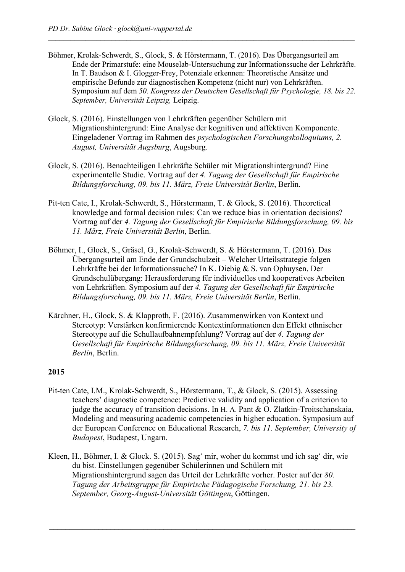Böhmer, Krolak-Schwerdt, S., Glock, S. & Hörstermann, T. (2016). Das Übergangsurteil am Ende der Primarstufe: eine Mouselab-Untersuchung zur Informationssuche der Lehrkräfte. In T. Baudson & I. Glogger-Frey, Potenziale erkennen: Theoretische Ansätze und empirische Befunde zur diagnostischen Kompetenz (nicht nur) von Lehrkräften. Symposium auf dem *50. Kongress der Deutschen Gesellschaft für Psychologie, 18. bis 22. September, Universität Leipzig,* Leipzig.

*\_\_\_\_\_\_\_\_\_\_\_\_\_\_\_\_\_\_\_\_\_\_\_\_\_\_\_\_\_\_\_\_\_\_\_\_\_\_\_\_\_\_\_\_\_\_\_\_\_\_\_\_\_\_\_\_\_\_\_\_\_\_\_\_\_\_\_\_\_\_\_\_\_\_\_\_\_\_\_\_\_\_* 

- Glock, S. (2016). Einstellungen von Lehrkräften gegenüber Schülern mit Migrationshintergrund: Eine Analyse der kognitiven und affektiven Komponente. Eingeladener Vortrag im Rahmen des *psychologischen Forschungskolloquiums, 2. August, Universität Augsburg*, Augsburg.
- Glock, S. (2016). Benachteiligen Lehrkräfte Schüler mit Migrationshintergrund? Eine experimentelle Studie. Vortrag auf der *4. Tagung der Gesellschaft für Empirische Bildungsforschung, 09. bis 11. März, Freie Universität Berlin*, Berlin.
- Pit-ten Cate, I., Krolak-Schwerdt, S., Hörstermann, T. & Glock, S. (2016). Theoretical knowledge and formal decision rules: Can we reduce bias in orientation decisions? Vortrag auf der *4. Tagung der Gesellschaft für Empirische Bildungsforschung, 09. bis 11. März, Freie Universität Berlin*, Berlin.
- Böhmer, I., Glock, S., Gräsel, G., Krolak-Schwerdt, S. & Hörstermann, T. (2016). Das Übergangsurteil am Ende der Grundschulzeit – Welcher Urteilsstrategie folgen Lehrkräfte bei der Informationssuche? In K. Diebig & S. van Ophuysen, Der Grundschulübergang: Herausforderung für individuelles und kooperatives Arbeiten von Lehrkräften. Symposium auf der *4. Tagung der Gesellschaft für Empirische Bildungsforschung, 09. bis 11. März, Freie Universität Berlin*, Berlin.
- Kärchner, H., Glock, S. & Klapproth, F. (2016). Zusammenwirken von Kontext und Stereotyp: Verstärken konfirmierende Kontextinformationen den Effekt ethnischer Stereotype auf die Schullaufbahnempfehlung? Vortrag auf der *4. Tagung der Gesellschaft für Empirische Bildungsforschung, 09. bis 11. März, Freie Universität Berlin*, Berlin.

- Pit-ten Cate, I.M., Krolak-Schwerdt, S., Hörstermann, T., & Glock, S. (2015). Assessing teachers' diagnostic competence: Predictive validity and application of a criterion to judge the accuracy of transition decisions. In H. A. Pant & O. Zlatkin-Troitschanskaia, Modeling and measuring academic competencies in higher education. Symposium auf der European Conference on Educational Research, *7. bis 11. September, University of Budapest*, Budapest, Ungarn.
- Kleen, H., Böhmer, I. & Glock. S. (2015). Sag' mir, woher du kommst und ich sag' dir, wie du bist. Einstellungen gegenüber Schülerinnen und Schülern mit Migrationshintergrund sagen das Urteil der Lehrkräfte vorher. Poster auf der *80. Tagung der Arbeitsgruppe für Empirische Pädagogische Forschung, 21. bis 23. September, Georg-August-Universität Göttingen*, Göttingen.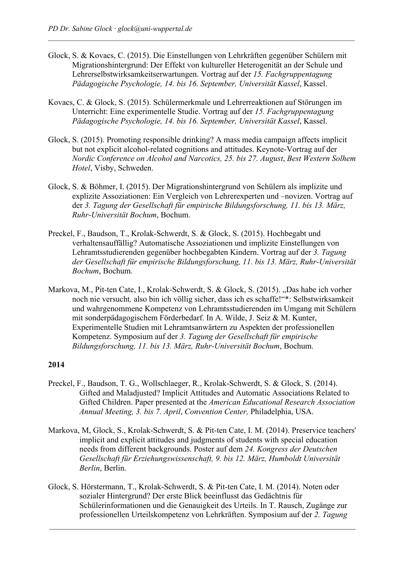Glock, S. & Kovacs, C. (2015). Die Einstellungen von Lehrkräften gegenüber Schülern mit Migrationshintergrund: Der Effekt von kultureller Heterogenität an der Schule und Lehrerselbstwirksamkeitserwartungen. Vortrag auf der *15. Fachgruppentagung Pädagogische Psychologie, 14. bis 16. September, Universität Kassel*, Kassel.

*\_\_\_\_\_\_\_\_\_\_\_\_\_\_\_\_\_\_\_\_\_\_\_\_\_\_\_\_\_\_\_\_\_\_\_\_\_\_\_\_\_\_\_\_\_\_\_\_\_\_\_\_\_\_\_\_\_\_\_\_\_\_\_\_\_\_\_\_\_\_\_\_\_\_\_\_\_\_\_\_\_\_* 

- Kovacs, C. & Glock, S. (2015). Schülermerkmale und Lehrerreaktionen auf Störungen im Unterricht: Eine experimentelle Studie. Vortrag auf der *15. Fachgruppentagung Pädagogische Psychologie, 14. bis 16. September, Universität Kassel*, Kassel.
- Glock, S. (2015). Promoting responsible drinking? A mass media campaign affects implicit but not explicit alcohol-related cognitions and attitudes. Keynote-Vortrag auf der *Nordic Conference on Alcohol and Narcotics, 25. bis 27. August*, *Best Western Solhem Hotel*, Visby, Schweden.
- Glock, S. & Böhmer, I. (2015). Der Migrationshintergrund von Schülern als implizite und explizite Assoziationen: Ein Vergleich von Lehrerexperten und –novizen. Vortrag auf der *3. Tagung der Gesellschaft für empirische Bildungsforschung, 11. bis 13. März, Ruhr-Universität Bochum*, Bochum.
- Preckel, F., Baudson, T., Krolak-Schwerdt, S. & Glock, S. (2015). Hochbegabt und verhaltensauffällig? Automatische Assoziationen und implizite Einstellungen von Lehramtsstudierenden gegenüber hochbegabten Kindern. Vortrag auf der *3. Tagung der Gesellschaft für empirische Bildungsforschung, 11. bis 13. März, Ruhr-Universität Bochum*, Bochum.
- Markova, M., Pit-ten Cate, I., Krolak-Schwerdt, S. & Glock, S. (2015). "Das habe ich vorher noch nie versucht*,* also bin ich völlig sicher, dass ich es schaffe!"\*: Selbstwirksamkeit und wahrgenommene Kompetenz von Lehramtsstudierenden im Umgang mit Schülern mit sonderpädagogischem Förderbedarf. In A. Wilde, J. Seiz & M. Kunter, Experimentelle Studien mit Lehramtsanwärtern zu Aspekten der professionellen Kompetenz. Symposium auf der *3. Tagung der Gesellschaft für empirische Bildungsforschung, 11. bis 13. März, Ruhr-Universität Bochum*, Bochum.

- Preckel, F., Baudson, T. G., Wollschlaeger, R., Krolak-Schwerdt, S. & Glock, S. (2014). Gifted and Maladjusted? Implicit Attitudes and Automatic Associations Related to Gifted Children. Paper presented at the *American Educational Research Association Annual Meeting, 3. bis 7. April*, *Convention Center,* Philadelphia, USA.
- Markova, M, Glock, S., Krolak-Schwerdt, S. & Pit-ten Cate, I. M. (2014). Preservice teachers' implicit and explicit attitudes and judgments of students with special education needs from different backgrounds. Poster auf dem *24. Kongress der Deutschen Gesellschaft für Erziehungswissenschaft, 9. bis 12. März, Humboldt Universität Berlin*, Berlin.
- Glock, S. Hörstermann, T., Krolak-Schwerdt, S. & Pit-ten Cate, I. M. (2014). Noten oder sozialer Hintergrund? Der erste Blick beeinflusst das Gedächtnis für Schülerinformationen und die Genauigkeit des Urteils. In T. Rausch, Zugänge zur professionellen Urteilskompetenz von Lehrkräften. Symposium auf der *2. Tagung*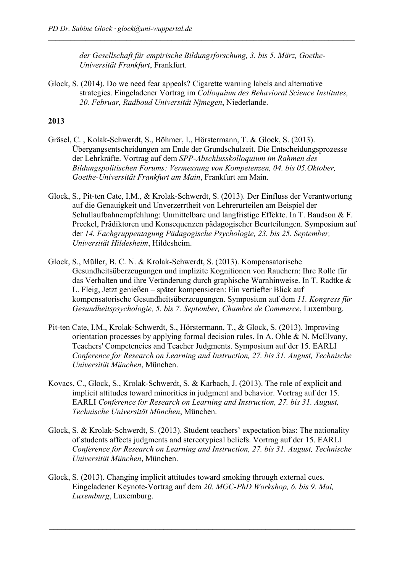*der Gesellschaft für empirische Bildungsforschung, 3. bis 5. März, Goethe-Universität Frankfurt*, Frankfurt.

*\_\_\_\_\_\_\_\_\_\_\_\_\_\_\_\_\_\_\_\_\_\_\_\_\_\_\_\_\_\_\_\_\_\_\_\_\_\_\_\_\_\_\_\_\_\_\_\_\_\_\_\_\_\_\_\_\_\_\_\_\_\_\_\_\_\_\_\_\_\_\_\_\_\_\_\_\_\_\_\_\_\_* 

Glock, S. (2014). Do we need fear appeals? Cigarette warning labels and alternative strategies. Eingeladener Vortrag im *Colloquium des Behavioral Science Institutes, 20. Februar, Radboud Universität Njmegen*, Niederlande.

- Gräsel, C. , Kolak-Schwerdt, S., Böhmer, I., Hörstermann, T. & Glock, S. (2013). Übergangsentscheidungen am Ende der Grundschulzeit. Die Entscheidungsprozesse der Lehrkräfte. Vortrag auf dem *SPP-Abschlusskolloquium im Rahmen des Bildungspolitischen Forums: Vermessung von Kompetenzen, 04. bis 05.Oktober, Goethe-Universität Frankfurt am Main*, Frankfurt am Main.
- Glock, S., Pit-ten Cate, I.M., & Krolak-Schwerdt, S. (2013). Der Einfluss der Verantwortung auf die Genauigkeit und Unverzerrtheit von Lehrerurteilen am Beispiel der Schullaufbahnempfehlung: Unmittelbare und langfristige Effekte. In T. Baudson & F. Preckel, Prädiktoren und Konsequenzen pädagogischer Beurteilungen. Symposium auf der *14. Fachgruppentagung Pädagogische Psychologie, 23. bis 25. September, Universität Hildesheim*, Hildesheim.
- Glock, S., Müller, B. C. N. & Krolak-Schwerdt, S. (2013). Kompensatorische Gesundheitsüberzeugungen und implizite Kognitionen von Rauchern: Ihre Rolle für das Verhalten und ihre Veränderung durch graphische Warnhinweise. In T. Radtke & L. Fleig, Jetzt genießen – später kompensieren: Ein vertiefter Blick auf kompensatorische Gesundheitsüberzeugungen. Symposium auf dem *11. Kongress für Gesundheitspsychologie, 5. bis 7. September, Chambre de Commerce*, Luxemburg.
- Pit-ten Cate, I.M., Krolak-Schwerdt, S., Hörstermann, T., & Glock, S. (2013). Improving orientation processes by applying formal decision rules. In A. Ohle & N. McElvany, Teachers' Competencies and Teacher Judgments. Symposium auf der 15. EARLI *Conference for Research on Learning and Instruction, 27. bis 31. August, Technische Universität München*, München.
- Kovacs, C., Glock, S., Krolak-Schwerdt, S. & Karbach, J. (2013). The role of explicit and implicit attitudes toward minorities in judgment and behavior. Vortrag auf der 15. EARLI *Conference for Research on Learning and Instruction, 27. bis 31. August, Technische Universität München*, München.
- Glock, S. & Krolak-Schwerdt, S. (2013). Student teachers' expectation bias: The nationality of students affects judgments and stereotypical beliefs. Vortrag auf der 15. EARLI *Conference for Research on Learning and Instruction, 27. bis 31. August, Technische Universität München*, München.
- Glock, S. (2013). Changing implicit attitudes toward smoking through external cues. Eingeladener Keynote-Vortrag auf dem *20. MGC-PhD Workshop, 6. bis 9. Mai, Luxemburg*, Luxemburg.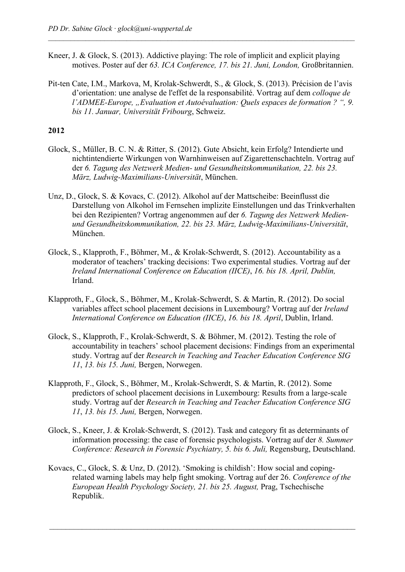Kneer, J. & Glock, S. (2013). Addictive playing: The role of implicit and explicit playing motives. Poster auf der *63. ICA Conference, 17. bis 21. Juni, London,* Großbritannien.

*\_\_\_\_\_\_\_\_\_\_\_\_\_\_\_\_\_\_\_\_\_\_\_\_\_\_\_\_\_\_\_\_\_\_\_\_\_\_\_\_\_\_\_\_\_\_\_\_\_\_\_\_\_\_\_\_\_\_\_\_\_\_\_\_\_\_\_\_\_\_\_\_\_\_\_\_\_\_\_\_\_\_* 

Pit-ten Cate, I.M., Markova, M, Krolak-Schwerdt, S., & Glock, S. (2013). Précision de l'avis d'orientation: une analyse de l'effet de la responsabilité. Vortrag auf dem *colloque de l'ADMEE-Europe, "Evaluation et Autoévaluation: Quels espaces de formation ? ", 9. bis 11. Januar, Universität Fribourg*, Schweiz.

- Glock, S., Müller, B. C. N. & Ritter, S. (2012). Gute Absicht, kein Erfolg? Intendierte und nichtintendierte Wirkungen von Warnhinweisen auf Zigarettenschachteln. Vortrag auf der *6. Tagung des Netzwerk Medien- und Gesundheitskommunikation, 22. bis 23. März, Ludwig-Maximilians-Universität*, München.
- Unz, D., Glock, S. & Kovacs, C. (2012). Alkohol auf der Mattscheibe: Beeinflusst die Darstellung von Alkohol im Fernsehen implizite Einstellungen und das Trinkverhalten bei den Rezipienten? Vortrag angenommen auf der *6. Tagung des Netzwerk Medienund Gesundheitskommunikation, 22. bis 23. März, Ludwig-Maximilians-Universität*, München.
- Glock, S., Klapproth, F., Böhmer, M., & Krolak-Schwerdt, S. (2012). Accountability as a moderator of teachers' tracking decisions: Two experimental studies. Vortrag auf der *Ireland International Conference on Education (IICE)*, *16. bis 18. April, Dublin,* Irland.
- Klapproth, F., Glock, S., Böhmer, M., Krolak-Schwerdt, S. & Martin, R. (2012). Do social variables affect school placement decisions in Luxembourg? Vortrag auf der *Ireland International Conference on Education (IICE)*, *16. bis 18. April*, Dublin, Irland.
- Glock, S., Klapproth, F., Krolak-Schwerdt, S. & Böhmer, M. (2012). Testing the role of accountability in teachers' school placement decisions: Findings from an experimental study. Vortrag auf der *Research in Teaching and Teacher Education Conference SIG 11*, *13. bis 15. Juni,* Bergen, Norwegen.
- Klapproth, F., Glock, S., Böhmer, M., Krolak-Schwerdt, S. & Martin, R. (2012). Some predictors of school placement decisions in Luxembourg: Results from a large-scale study. Vortrag auf der *Research in Teaching and Teacher Education Conference SIG 11*, *13. bis 15. Juni,* Bergen, Norwegen.
- Glock, S., Kneer, J. & Krolak-Schwerdt, S. (2012). Task and category fit as determinants of information processing: the case of forensic psychologists. Vortrag auf der *8. Summer Conference: Research in Forensic Psychiatry, 5. bis 6. Juli, Regensburg, Deutschland.*
- Kovacs, C., Glock, S. & Unz, D. (2012). 'Smoking is childish': How social and copingrelated warning labels may help fight smoking. Vortrag auf der 26. *Conference of the European Health Psychology Society, 21. bis 25. August,* Prag, Tschechische Republik.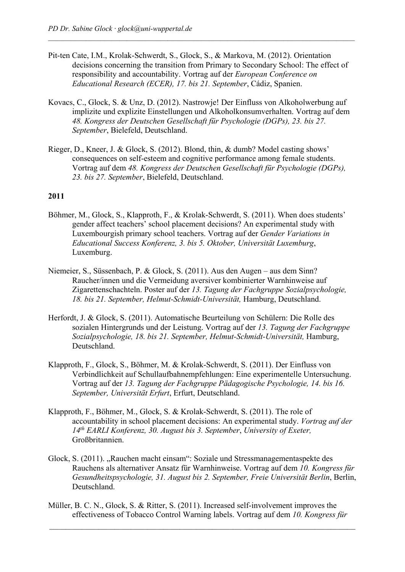Pit-ten Cate, I.M., Krolak-Schwerdt, S., Glock, S., & Markova, M. (2012). Orientation decisions concerning the transition from Primary to Secondary School: The effect of responsibility and accountability. Vortrag auf der *European Conference on Educational Research (ECER), 17. bis 21. September*, Cádiz, Spanien.

*\_\_\_\_\_\_\_\_\_\_\_\_\_\_\_\_\_\_\_\_\_\_\_\_\_\_\_\_\_\_\_\_\_\_\_\_\_\_\_\_\_\_\_\_\_\_\_\_\_\_\_\_\_\_\_\_\_\_\_\_\_\_\_\_\_\_\_\_\_\_\_\_\_\_\_\_\_\_\_\_\_\_* 

- Kovacs, C., Glock, S. & Unz, D. (2012). Nastrowje! Der Einfluss von Alkoholwerbung auf implizite und explizite Einstellungen und Alkoholkonsumverhalten. Vortrag auf dem *48. Kongress der Deutschen Gesellschaft für Psychologie (DGPs), 23. bis 27. September*, Bielefeld, Deutschland.
- Rieger, D., Kneer, J. & Glock, S. (2012). Blond, thin, & dumb? Model casting shows' consequences on self-esteem and cognitive performance among female students. Vortrag auf dem *48. Kongress der Deutschen Gesellschaft für Psychologie (DGPs), 23. bis 27. September*, Bielefeld, Deutschland.

- Böhmer, M., Glock, S., Klapproth, F., & Krolak-Schwerdt, S. (2011). When does students' gender affect teachers' school placement decisions? An experimental study with Luxembourgish primary school teachers. Vortrag auf der *Gender Variations in Educational Success Konferenz, 3. bis 5. Oktober, Universität Luxemburg*, Luxemburg.
- Niemeier, S., Süssenbach, P. & Glock, S. (2011). Aus den Augen aus dem Sinn? Raucher/innen und die Vermeidung aversiver kombinierter Warnhinweise auf Zigarettenschachteln. Poster auf der *13. Tagung der Fachgruppe Sozialpsychologie, 18. bis 21. September, Helmut-Schmidt-Universität,* Hamburg, Deutschland.
- Herfordt, J. & Glock, S. (2011). Automatische Beurteilung von Schülern: Die Rolle des sozialen Hintergrunds und der Leistung. Vortrag auf der *13. Tagung der Fachgruppe Sozialpsychologie, 18. bis 21. September, Helmut-Schmidt-Universität,* Hamburg, Deutschland.
- Klapproth, F., Glock, S., Böhmer, M. & Krolak-Schwerdt, S. (2011). Der Einfluss von Verbindlichkeit auf Schullaufbahnempfehlungen: Eine experimentelle Untersuchung. Vortrag auf der *13. Tagung der Fachgruppe Pädagogische Psychologie, 14. bis 16. September, Universität Erfurt*, Erfurt, Deutschland.
- Klapproth, F., Böhmer, M., Glock, S. & Krolak-Schwerdt, S. (2011). The role of accountability in school placement decisions: An experimental study. *Vortrag auf der 14th EARLI Konferenz, 30. August bis 3. September*, *University of Exeter,* Großbritannien.
- Glock, S. (2011). "Rauchen macht einsam": Soziale und Stressmanagementaspekte des Rauchens als alternativer Ansatz für Warnhinweise. Vortrag auf dem *10. Kongress für Gesundheitspsychologie, 31. August bis 2. September, Freie Universität Berlin*, Berlin, Deutschland.
- Müller, B. C. N., Glock, S. & Ritter, S. (2011). Increased self-involvement improves the effectiveness of Tobacco Control Warning labels. Vortrag auf dem *10. Kongress für*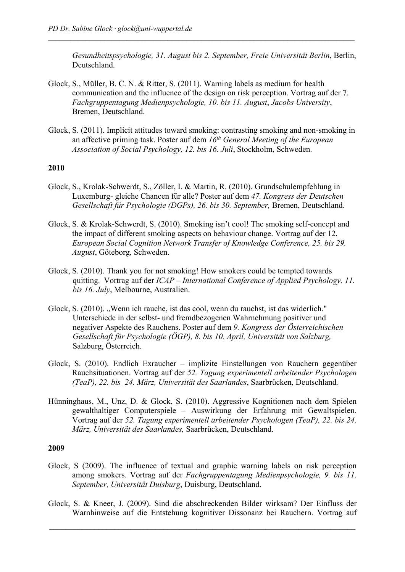*Gesundheitspsychologie, 31. August bis 2. September, Freie Universität Berlin*, Berlin, Deutschland.

Glock, S., Müller, B. C. N. & Ritter, S. (2011). Warning labels as medium for health communication and the influence of the design on risk perception. Vortrag auf der 7. *Fachgruppentagung Medienpsychologie, 10. bis 11. August*, *Jacobs University*, Bremen, Deutschland.

*\_\_\_\_\_\_\_\_\_\_\_\_\_\_\_\_\_\_\_\_\_\_\_\_\_\_\_\_\_\_\_\_\_\_\_\_\_\_\_\_\_\_\_\_\_\_\_\_\_\_\_\_\_\_\_\_\_\_\_\_\_\_\_\_\_\_\_\_\_\_\_\_\_\_\_\_\_\_\_\_\_\_* 

Glock, S. (2011). Implicit attitudes toward smoking: contrasting smoking and non-smoking in an affective priming task. Poster auf dem *16th General Meeting of the European Association of Social Psychology, 12. bis 16. Juli*, Stockholm, Schweden.

## **2010**

- Glock, S., Krolak-Schwerdt, S., Zöller, I. & Martin, R. (2010). Grundschulempfehlung in Luxemburg- gleiche Chancen für alle? Poster auf dem *47. Kongress der Deutschen Gesellschaft für Psychologie (DGPs), 26. bis 30. September,* Bremen, Deutschland.
- Glock, S. & Krolak-Schwerdt, S. (2010). Smoking isn't cool! The smoking self-concept and the impact of different smoking aspects on behaviour change. Vortrag auf der 12. *European Social Cognition Network Transfer of Knowledge Conference, 25. bis 29. August*, Göteborg, Schweden.
- Glock, S. (2010). Thank you for not smoking! How smokers could be tempted towards quitting. Vortrag auf der *ICAP – International Conference of Applied Psychology, 11. bis 16. July*, Melbourne, Australien.
- Glock, S. (2010). "Wenn ich rauche, ist das cool, wenn du rauchst, ist das widerlich." Unterschiede in der selbst- und fremdbezogenen Wahrnehmung positiver und negativer Aspekte des Rauchens. Poster auf dem *9. Kongress der Österreichischen Gesellschaft für Psychologie (ÖGP), 8. bis 10. April, Universität von Salzburg,*  Salzburg, Österreich*.*
- Glock, S. (2010). Endlich Exraucher implizite Einstellungen von Rauchern gegenüber Rauchsituationen. Vortrag auf der *52. Tagung experimentell arbeitender Psychologen (TeaP), 22. bis 24. März, Universität des Saarlandes*, Saarbrücken, Deutschland*.*
- Hünninghaus, M., Unz, D. & Glock, S. (2010). Aggressive Kognitionen nach dem Spielen gewalthaltiger Computerspiele – Auswirkung der Erfahrung mit Gewaltspielen. Vortrag auf der *52. Tagung experimentell arbeitender Psychologen (TeaP), 22. bis 24. März, Universität des Saarlandes,* Saarbrücken, Deutschland.

- Glock, S (2009). The influence of textual and graphic warning labels on risk perception among smokers. Vortrag auf der *Fachgruppentagung Medienpsychologie, 9. bis 11. September, Universität Duisburg*, Duisburg, Deutschland.
- Glock, S. & Kneer, J. (2009). Sind die abschreckenden Bilder wirksam? Der Einfluss der Warnhinweise auf die Entstehung kognitiver Dissonanz bei Rauchern. Vortrag auf